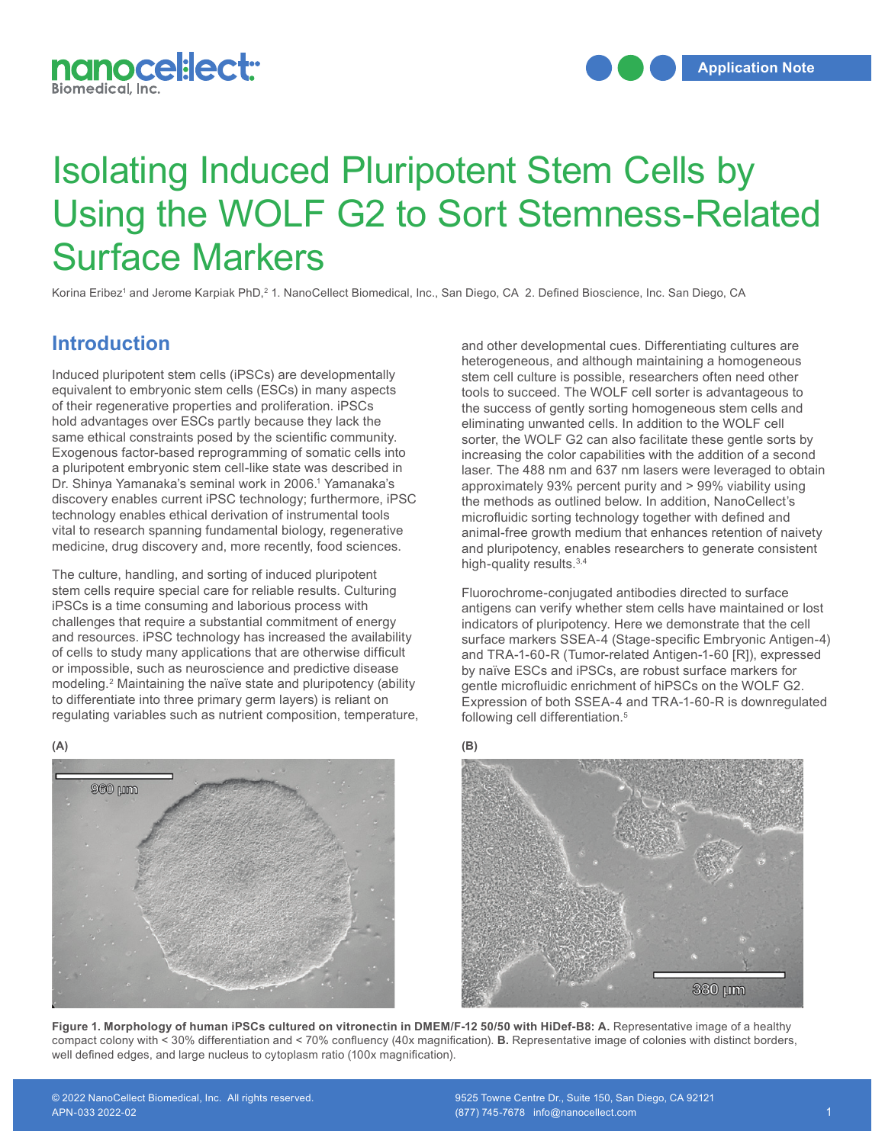

# Isolating Induced Pluripotent Stem Cells by Using the WOLF G2 to Sort Stemness-Related Surface Markers

Korina Eribez' and Jerome Karpiak PhD,<sup>2</sup> 1. NanoCellect Biomedical, Inc., San Diego, CA 2. Defined Bioscience, Inc. San Diego, CA

#### **Introduction**

Induced pluripotent stem cells (iPSCs) are developmentally equivalent to embryonic stem cells (ESCs) in many aspects of their regenerative properties and proliferation. iPSCs hold advantages over ESCs partly because they lack the same ethical constraints posed by the scientific community. Exogenous factor-based reprogramming of somatic cells into a pluripotent embryonic stem cell-like state was described in Dr. Shinya Yamanaka's seminal work in 2006.<sup>1</sup> Yamanaka's discovery enables current iPSC technology; furthermore, iPSC technology enables ethical derivation of instrumental tools vital to research spanning fundamental biology, regenerative medicine, drug discovery and, more recently, food sciences.

The culture, handling, and sorting of induced pluripotent stem cells require special care for reliable results. Culturing iPSCs is a time consuming and laborious process with challenges that require a substantial commitment of energy and resources. iPSC technology has increased the availability of cells to study many applications that are otherwise difficult or impossible, such as neuroscience and predictive disease modeling.2 Maintaining the naïve state and pluripotency (ability to differentiate into three primary germ layers) is reliant on regulating variables such as nutrient composition, temperature, and other developmental cues. Differentiating cultures are heterogeneous, and although maintaining a homogeneous stem cell culture is possible, researchers often need other tools to succeed. The WOLF cell sorter is advantageous to the success of gently sorting homogeneous stem cells and eliminating unwanted cells. In addition to the WOLF cell sorter, the WOLF G2 can also facilitate these gentle sorts by increasing the color capabilities with the addition of a second laser. The 488 nm and 637 nm lasers were leveraged to obtain approximately 93% percent purity and > 99% viability using the methods as outlined below. In addition, NanoCellect's microfluidic sorting technology together with defined and animal-free growth medium that enhances retention of naivety and pluripotency, enables researchers to generate consistent high-quality results.<sup>3,4</sup>

Fluorochrome-conjugated antibodies directed to surface antigens can verify whether stem cells have maintained or lost indicators of pluripotency. Here we demonstrate that the cell surface markers SSEA-4 (Stage-specific Embryonic Antigen-4) and TRA-1-60-R (Tumor-related Antigen-1-60 [R]), expressed by naïve ESCs and iPSCs, are robust surface markers for gentle microfluidic enrichment of hiPSCs on the WOLF G2. Expression of both SSEA-4 and TRA-1-60-R is downregulated following cell differentiation.5





Figure 1. Morphology of human iPSCs cultured on vitronectin in DMEM/F-12 50/50 with HiDef-B8: A. Representative image of a healthy compact colony with < 30% differentiation and < 70% confluency (40x magnification). **B.** Representative image of colonies with distinct borders, well defined edges, and large nucleus to cytoplasm ratio (100x magnification).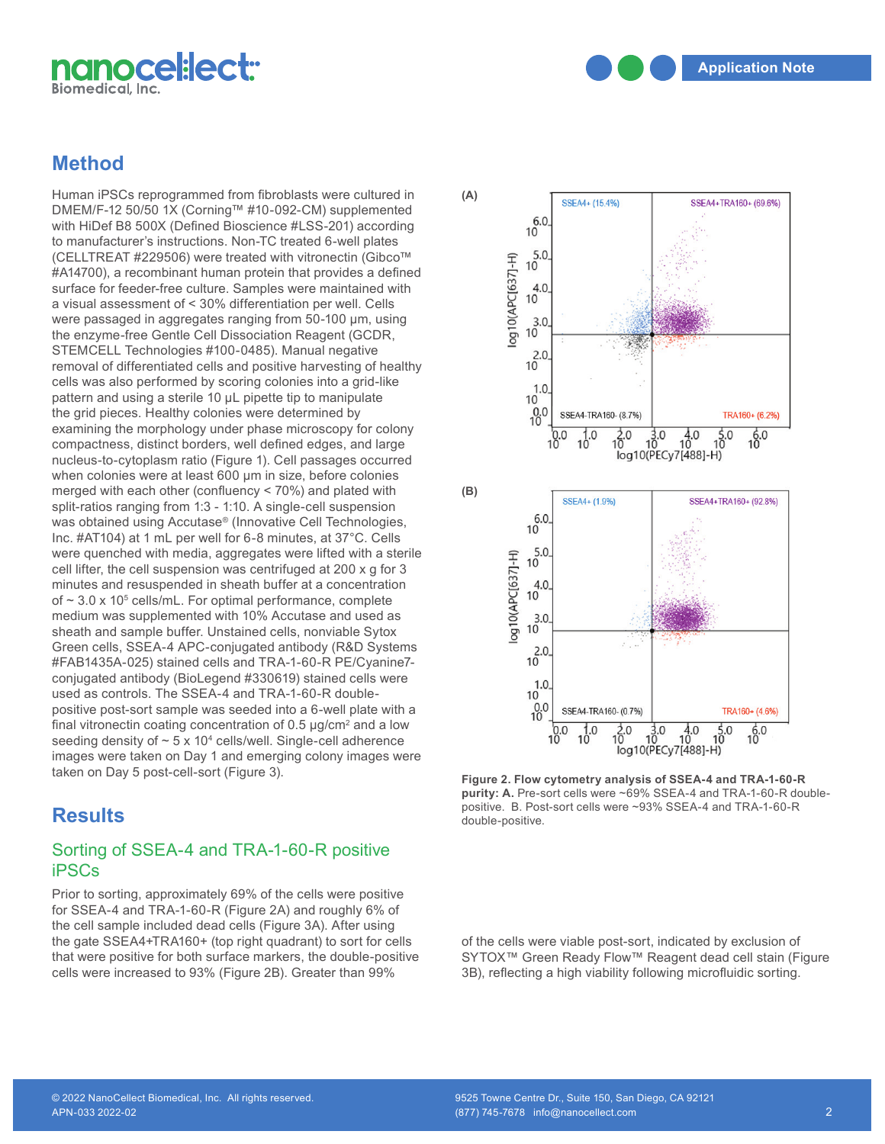

## **Method**

Human iPSCs reprogrammed from fibroblasts were cultured in DMEM/F-12 50/50 1X (Corning™ #10-092-CM) supplemented with HiDef B8 500X (Defined Bioscience #LSS-201) according to manufacturer's instructions. Non-TC treated 6-well plates (CELLTREAT #229506) were treated with vitronectin (Gibco™ #A14700), a recombinant human protein that provides a defined surface for feeder-free culture. Samples were maintained with a visual assessment of < 30% differentiation per well. Cells were passaged in aggregates ranging from 50-100 µm, using the enzyme-free Gentle Cell Dissociation Reagent (GCDR, STEMCELL Technologies #100-0485). Manual negative removal of differentiated cells and positive harvesting of healthy cells was also performed by scoring colonies into a grid-like pattern and using a sterile 10 µL pipette tip to manipulate the grid pieces. Healthy colonies were determined by examining the morphology under phase microscopy for colony compactness, distinct borders, well defined edges, and large nucleus-to-cytoplasm ratio (Figure 1). Cell passages occurred when colonies were at least 600 µm in size, before colonies merged with each other (confluency  $<$  70%) and plated with split-ratios ranging from 1:3 - 1:10. A single-cell suspension was obtained using Accutase® (Innovative Cell Technologies, Inc. #AT104) at 1 mL per well for 6-8 minutes, at 37°C. Cells were quenched with media, aggregates were lifted with a sterile cell lifter, the cell suspension was centrifuged at 200 x g for 3 minutes and resuspended in sheath buffer at a concentration of  $\sim$  3.0 x 10<sup>5</sup> cells/mL. For optimal performance, complete medium was supplemented with 10% Accutase and used as sheath and sample buffer. Unstained cells, nonviable Sytox Green cells, SSEA-4 APC-conjugated antibody (R&D Systems #FAB1435A-025) stained cells and TRA-1-60-R PE/Cyanine7 conjugated antibody (BioLegend #330619) stained cells were used as controls. The SSEA-4 and TRA-1-60-R doublepositive post-sort sample was seeded into a 6-well plate with a final vitronectin coating concentration of 0.5  $\mu$ g/cm<sup>2</sup> and a low seeding density of  $\sim$  5 x 10<sup>4</sup> cells/well. Single-cell adherence images were taken on Day 1 and emerging colony images were taken on Day 5 post-cell-sort (Figure 3).

# **Results**

#### Sorting of SSEA-4 and TRA-1-60-R positive iPSCs

Prior to sorting, approximately 69% of the cells were positive for SSEA-4 and TRA-1-60-R (Figure 2A) and roughly 6% of the cell sample included dead cells (Figure 3A). After using the gate SSEA4+TRA160+ (top right quadrant) to sort for cells that were positive for both surface markers, the double-positive cells were increased to 93% (Figure 2B). Greater than 99%



**Figure 2. Flow cytometry analysis of SSEA-4 and TRA-1-60-R purity: A.** Pre-sort cells were ~69% SSEA-4 and TRA-1-60-R doublepositive. B. Post-sort cells were ~93% SSEA-4 and TRA-1-60-R double-positive.

of the cells were viable post-sort, indicated by exclusion of SYTOX™ Green Ready Flow™ Reagent dead cell stain (Figure 3B), reflecting a high viability following microfluidic sorting.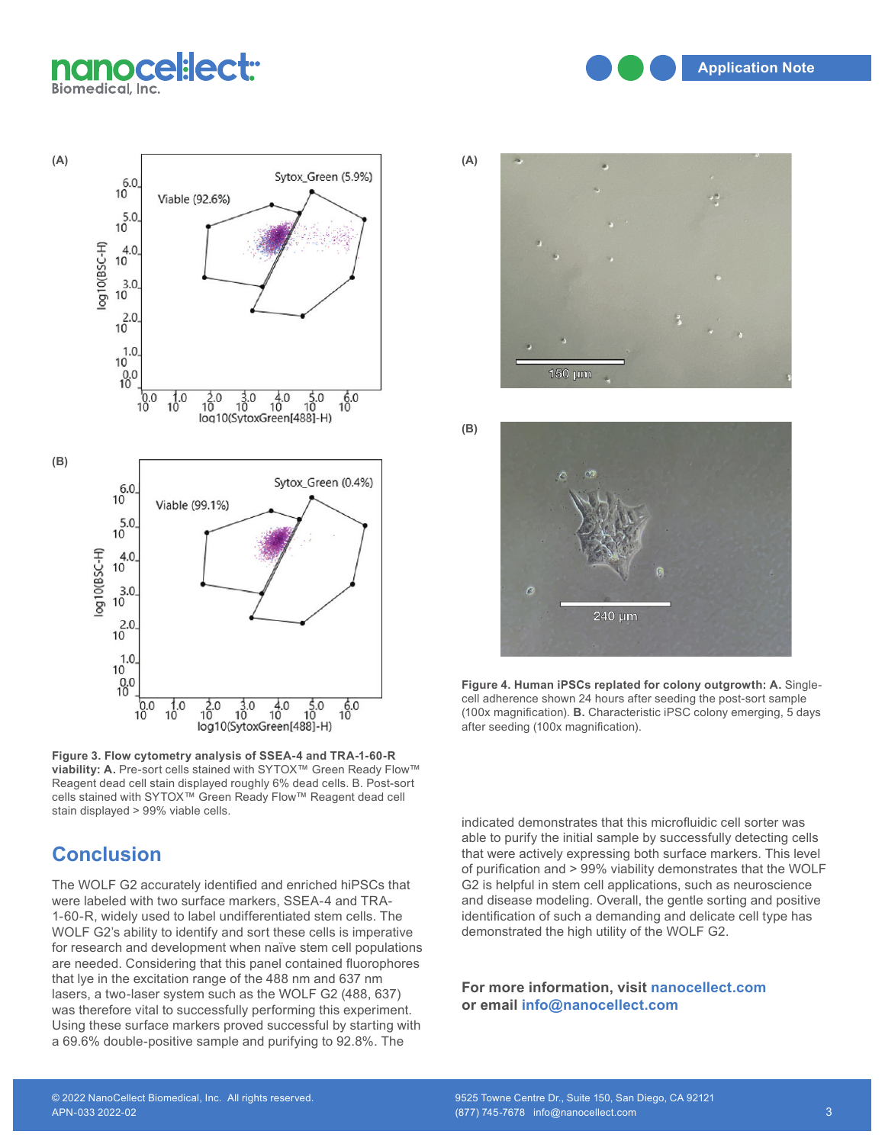nanocel:lect:· **Biomedical, Inc.** 

**Application Note** 



**Figure 3. Flow cytometry analysis of SSEA-4 and TRA-1-60-R**  viability: A. Pre-sort cells stained with SYTOX<sup>™</sup> Green Ready Flow<sup>™</sup> Reagent dead cell stain displayed roughly 6% dead cells. B. Post-sort cells stained with SYTOX™ Green Ready Flow™ Reagent dead cell stain displayed > 99% viable cells.

## **Conclusion**

The WOLF G2 accurately identified and enriched hiPSCs that were labeled with two surface markers, SSEA-4 and TRA-1-60-R, widely used to label undifferentiated stem cells. The WOLF G2's ability to identify and sort these cells is imperative for research and development when naïve stem cell populations are needed. Considering that this panel contained fluorophores that lye in the excitation range of the 488 nm and 637 nm lasers, a two-laser system such as the WOLF G2 (488, 637) was therefore vital to successfully performing this experiment. Using these surface markers proved successful by starting with a 69.6% double-positive sample and purifying to 92.8%. The



**(B)**

240 µm

**Figure 4. Human iPSCs replated for colony outgrowth: A.** Singlecell adherence shown 24 hours after seeding the post-sort sample (100x magnification). **B.** Characteristic iPSC colony emerging, 5 days after seeding (100x magnification).

indicated demonstrates that this microfluidic cell sorter was able to purify the initial sample by successfully detecting cells that were actively expressing both surface markers. This level of purification and > 99% viability demonstrates that the WOLF G2 is helpful in stem cell applications, such as neuroscience and disease modeling. Overall, the gentle sorting and positive identification of such a demanding and delicate cell type has demonstrated the high utility of the WOLF G2.

**For more information, visit nanocellect.com or email info@nanocellect.com**